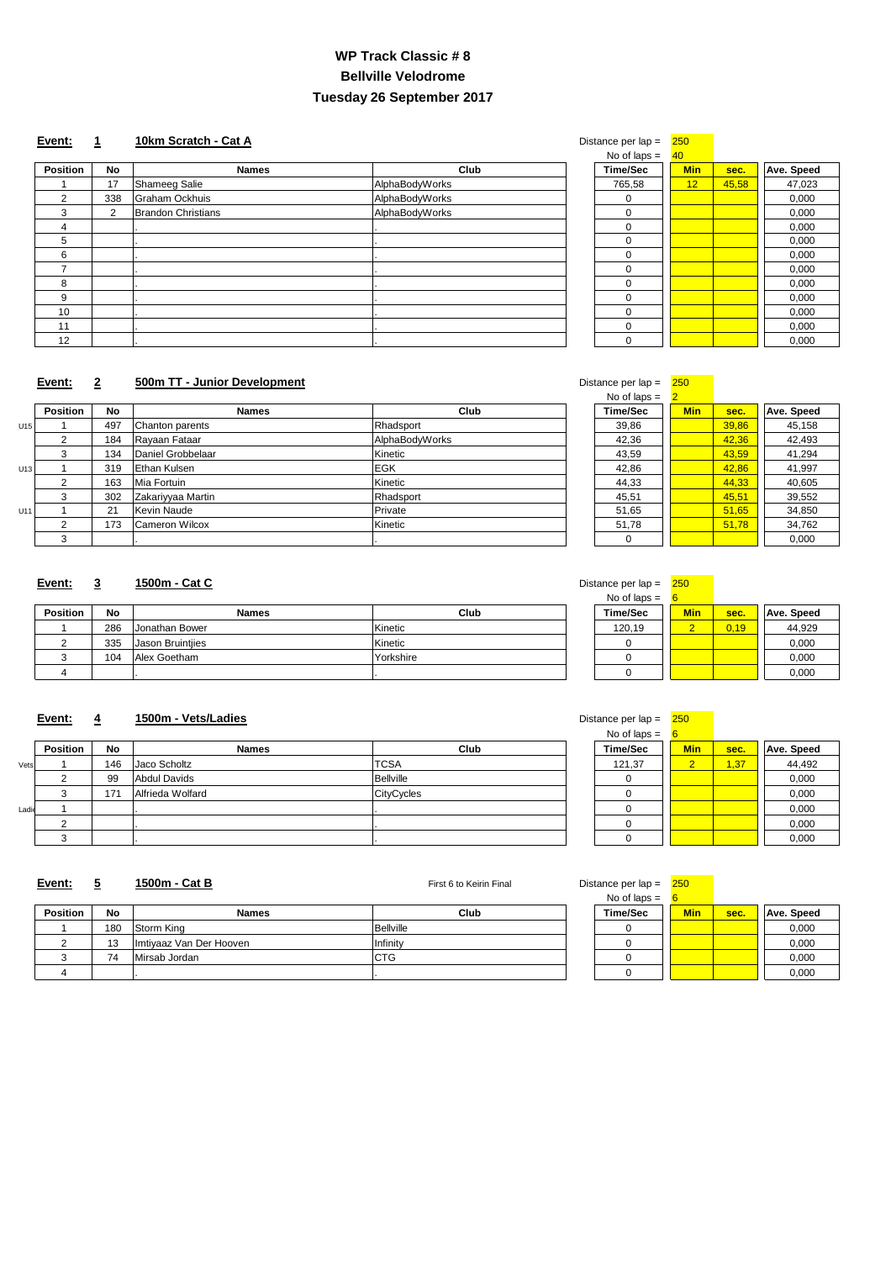| σιαπο <del>σ</del> μ <del>ο</del> πιαμ − | ∠∪         |       |                   |
|------------------------------------------|------------|-------|-------------------|
| No of laps $=$                           | 40         |       |                   |
| <b>Time/Sec</b>                          | <b>Min</b> | sec.  | <b>Ave. Speed</b> |
| 765,58                                   | 12         | 45,58 | 47,023            |
|                                          |            |       | 0,000             |
| O                                        |            |       | 0,000             |
| 0                                        |            |       | 0,000             |
| 0                                        |            |       | 0,000             |
| 0                                        |            |       | 0,000             |
| 0                                        |            |       | 0,000             |
| 0                                        |            |       | 0,000             |
| 0                                        |            |       | 0,000             |
| 0                                        |            |       | 0,000             |
| ∩                                        |            |       | 0,000             |
|                                          |            |       | 0,000             |

## **Event: 2** 500m TT - Junior Development

|                 |     |                           |                | $\overline{1}$ via $\overline{1}$ via $\overline{1}$ | <u>ு —</u> |       |                   |
|-----------------|-----|---------------------------|----------------|------------------------------------------------------|------------|-------|-------------------|
| <b>Position</b> | No  | <b>Names</b>              | Club           | <b>Time/Sec</b>                                      | <b>Min</b> | sec.  | <b>Ave. Speed</b> |
|                 | 17  | <b>Shameeg Salie</b>      | AlphaBodyWorks | 765,58                                               | <b>12</b>  | 45,58 | 47,023            |
| $\overline{2}$  | 338 | <b>Graham Ockhuis</b>     | AlphaBodyWorks | $\overline{0}$                                       |            |       | 0,000             |
| 3               | 2   | <b>Brandon Christians</b> | AlphaBodyWorks | $\Omega$                                             |            |       | 0,000             |
| 4               |     |                           |                | $\overline{0}$                                       |            |       | 0,000             |
| 5               |     |                           |                | $\overline{0}$                                       |            |       | 0,000             |
| 6               |     |                           |                | $\Omega$                                             |            |       | 0,000             |
| ⇁               |     |                           |                | $\Omega$                                             |            |       | 0,000             |
| 8               |     |                           |                | 0                                                    |            |       | 0,000             |
| 9               |     |                           |                | $\overline{0}$                                       |            |       | 0,000             |
| 10              |     |                           |                | $\Omega$                                             |            |       | 0,000             |
| 11              |     |                           |                | $\Omega$                                             |            |       | 0,000             |
| 12              |     |                           |                | $\overline{0}$                                       |            |       | 0,000             |

| No of laps $=$  | $\overline{2}$ |       |            |
|-----------------|----------------|-------|------------|
| <b>Time/Sec</b> | <b>Min</b>     | sec.  | Ave. Speed |
| 39,86           |                | 39,86 | 45,158     |
| 42,36           |                | 42,36 | 42,493     |
| 43,59           |                | 43,59 | 41,294     |
| 42,86           |                | 42,86 | 41,997     |
| 44,33           |                | 44,33 | 40,605     |
| 45,51           |                | 45,51 | 39,552     |
| 51,65           |                | 51,65 | 34,850     |
| 51,78           |                | 51,78 | 34,762     |
|                 |                |       | 0,000      |

# **Event:** 3 **1500m - Cat C 1500m - Cat C Distance per lap = 250**

| <b>Min</b><br>sec. | <b>Ave. Speed</b> |
|--------------------|-------------------|
| 39,86              | 45,158            |
| 42,36              | 42,493            |
| 43,59              | 41,294            |
| 42,86              | 41,997            |
| 44,33              | 40,605            |
| 45,51              | 39,552            |
| 51,65              | 34,850            |
| 51,78              | 34,762            |
|                    | 0,000             |
|                    |                   |

| Distance per lap = |  |  | 250 |
|--------------------|--|--|-----|
|--------------------|--|--|-----|

| No of laps $=$  | 6          |      |                   |
|-----------------|------------|------|-------------------|
| <b>Time/Sec</b> | <b>Min</b> | sec. | <b>Ave. Speed</b> |
| 120,19          |            | 0.19 | 44,929            |
|                 |            |      | 0,000             |
|                 |            |      | 0,000             |
|                 |            |      | 0.000             |

## **Event:** 4 **1500m - Vets/Ladies 1500m - Vets/Ladies Distance per lap = 250**

| <b>Position</b> | <b>No</b> | <b>Names</b>     | Club      | <b>Time/Sec</b> | <b>Min</b>               | sec. | <b>Ave. Speed</b> |
|-----------------|-----------|------------------|-----------|-----------------|--------------------------|------|-------------------|
|                 | 286       | Jonathan Bower   | Kinetic   | 120,19          | $\overline{\phantom{a}}$ | 0,19 | 44,929            |
|                 | 335       | Jason Bruintijes | Kinetic   |                 |                          |      | 0,000             |
|                 | 104       | Alex Goetham     | Yorkshire |                 |                          |      | 0,000             |
|                 |           |                  |           |                 |                          |      | 0,000             |

| Distance per lap $=$ |  | 250 |
|----------------------|--|-----|
|                      |  |     |

|               |           |       |      | $\sim$ 1000<br>NO U.<br>iaus. |               |            |                       |
|---------------|-----------|-------|------|-------------------------------|---------------|------------|-----------------------|
| .<br>Position | <b>No</b> | Names | Club | <b>Time/Sec</b>               | - - -<br>MIIN | <b>SAC</b> | Speed<br><b>I</b> Ave |

| Vets  | 146 | Jaco Scholtz        | <b>TCSA</b>       | 121,37 | $\sqrt{37}$ | 44,492 |
|-------|-----|---------------------|-------------------|--------|-------------|--------|
|       | 99  | <b>Abdul Davids</b> | Bellville         |        |             | 0,000  |
|       | 171 | Alfrieda Wolfard    | <b>CityCycles</b> |        |             | 0,000  |
| Ladie |     |                     |                   |        |             | 0,000  |
|       |     |                     |                   |        |             | 0,000  |
|       |     |                     |                   |        |             | 0,000  |

| 121,37 | 1,37 | 44,492 |
|--------|------|--------|
|        |      | 0,000  |
|        |      | 0,000  |
|        |      | 0,000  |
|        |      | 0,000  |
|        |      | 0,000  |

# **Event: 5 1500m - Cat B** First 6 to Keirin Final Distance per lap = 250

| No of laps $=$  | 6          |      |                   |
|-----------------|------------|------|-------------------|
| <b>Time/Sec</b> | <b>Min</b> | sec. | <b>Ave. Speed</b> |
|                 |            |      | 0,000             |
|                 |            |      | 0,000             |
|                 |            |      | 0,000             |
|                 |            |      | 0,000             |

|                 |           |                         |                  | $110$ VI 1000 $-$ |            |      |                   |
|-----------------|-----------|-------------------------|------------------|-------------------|------------|------|-------------------|
| <b>Position</b> | <b>No</b> | <b>Names</b>            | <b>Club</b>      | <b>Time/Sec</b>   | <b>Min</b> | sec. | <b>Ave. Speed</b> |
|                 | 180       | Storm King              | <b>Bellville</b> |                   |            |      | 0,000             |
|                 | 13        | Imtiyaaz Van Der Hooven | Infinity         |                   |            |      | 0,000             |
|                 | 74        | Mirsab Jordan           | <b>CTG</b>       |                   |            |      | 0,000             |
|                 |           |                         |                  |                   |            |      | 0,000             |

# **WP Track Classic # 8 Bellville Velodrome Tuesday 26 September 2017**

# **Event:** 1 **10km Scratch - Cat A Distance per lap = 250**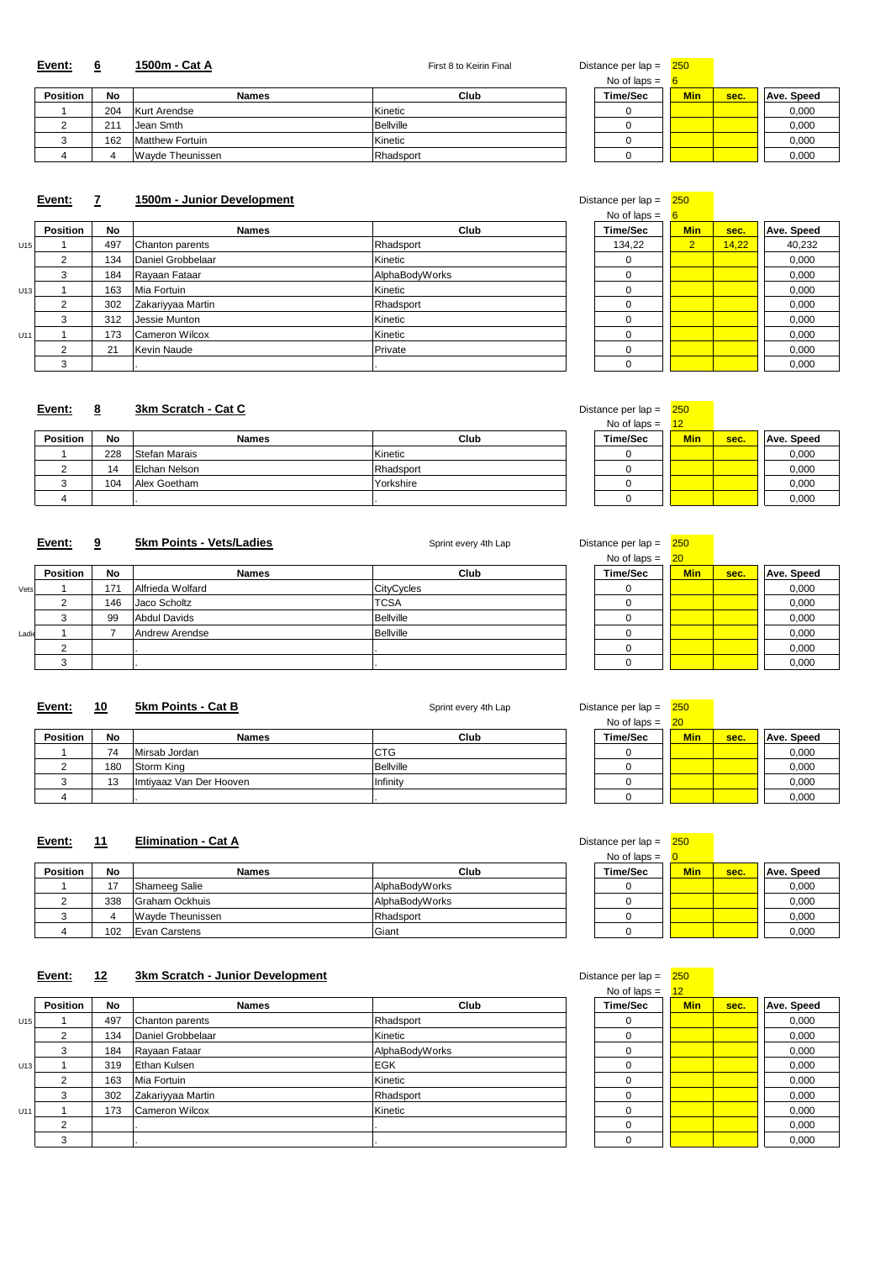# 2 211 Jean Smth Bellville 0 0,000 3 162 Matthew Fortuin Kinetic 0 0,000 4 | Wayde Theunissen | Rhadsport

#### **Event:** 6 <mark>1500m - Cat A</mark> **1600m - Cat A 1500m - Cat A Proba Example 250 Example 250 Example 250 Example 250 Example 250 Example 250 Example 250 Example 250 Exam**

|          |           |                     |             | No of laps $=$  |            |      |                   |
|----------|-----------|---------------------|-------------|-----------------|------------|------|-------------------|
| Position | <b>No</b> | <b>Names</b>        | <b>Club</b> | <b>Time/Sec</b> | <b>Min</b> | sec. | <b>Ave. Speed</b> |
|          | 204       | <b>Kurt Arendse</b> | Kinetic     |                 |            |      | 0,000             |
|          | 211       | Jean Smth           | Bellville   |                 |            |      | 0,000             |
|          | 162       | Matthew Fortuin     | Kinetic     |                 |            |      | 0,000             |
|          |           | Wayde Theunissen    | Rhadsport   |                 |            |      | 0,000             |

# **Event: 7 1500m - Junior Development** Distance per lap = 250

| Time/Sec                                  |  |
|-------------------------------------------|--|
| No of laps $=$                            |  |
| $\sim$ $\sim$ $\sim$ $\sim$ $\sim$ $\sim$ |  |

| . <b>.</b> .    |                |       |            |
|-----------------|----------------|-------|------------|
| <b>Time/Sec</b> | <b>Min</b>     | sec.  | Ave. Speed |
| 134,22          | $\overline{2}$ | 14,22 | 40,232     |
|                 |                |       | 0,000      |
| 0               |                |       | 0,000      |
| ი               |                |       | 0,000      |
| N               |                |       | 0,000      |
| ∩               |                |       | 0,000      |
| ი               |                |       | 0,000      |
|                 |                |       | 0,000      |
|                 |                |       | 0,000      |

## **Event: 8** 3km Scratch - Cat C

|     |                 |           |                       |                | $110 \times 1100 =$ |                |       |                   |
|-----|-----------------|-----------|-----------------------|----------------|---------------------|----------------|-------|-------------------|
|     | <b>Position</b> | <b>No</b> | <b>Names</b>          | Club           | <b>Time/Sec</b>     | <b>Min</b>     | sec.  | <b>Ave. Speed</b> |
| U15 |                 | 497       | Chanton parents       | Rhadsport      | 134,22              | 2 <sup>1</sup> | 14,22 | 40,232            |
|     | ∠               | 134       | Daniel Grobbelaar     | Kinetic        |                     |                |       | 0,000             |
|     |                 | 184       | Rayaan Fataar         | AlphaBodyWorks |                     |                |       | 0,000             |
| U13 |                 | 163       | Mia Fortuin           | Kinetic        |                     |                |       | 0,000             |
|     |                 | 302       | Zakariyyaa Martin     | Rhadsport      |                     |                |       | 0,000             |
|     |                 | 312       | Jessie Munton         | Kinetic        |                     |                |       | 0,000             |
| U11 |                 | 173       | <b>Cameron Wilcox</b> | Kinetic        |                     |                |       | 0,000             |
|     |                 | 21        | Kevin Naude           | Private        |                     |                |       | 0,000             |
|     |                 |           |                       |                |                     |                |       | 0,000             |

| No of laps $=$  | 12         |      |                   |
|-----------------|------------|------|-------------------|
| <b>Time/Sec</b> | <b>Min</b> | sec. | <b>Ave. Speed</b> |
|                 |            |      | 0,000             |
|                 |            |      | 0,000             |
|                 |            |      | 0,000             |
|                 |            |      | 0,000             |

#### **Event: 9** 5km Points - Vets/Ladies Sprint every 4th Lap Distance per lap = 250

| Sprint every 4th Lap |  |
|----------------------|--|

|                 |           |               |           | $1.19 - 1.19 - 1.00$ | <u>.</u>   |      |                   |
|-----------------|-----------|---------------|-----------|----------------------|------------|------|-------------------|
| <b>Position</b> | <b>No</b> | Names         | Club      | <b>Time/Sec</b>      | <b>Min</b> | sec. | <b>Ave. Speed</b> |
|                 | 228       | Stefan Marais | Kinetic   |                      |            |      | 0,000             |
|                 | 14        | Elchan Nelson | Rhadsport |                      |            |      | 0,000             |
|                 | 104       | Alex Goetham  | Yorkshire |                      |            |      | 0,000             |
|                 |           |               |           |                      |            |      | 0,000             |

| Distance per lap = | <b>250</b> |
|--------------------|------------|

|       |                 |           |                     |                   | No of laps $=$  | $ 20\rangle$ |      |                   |
|-------|-----------------|-----------|---------------------|-------------------|-----------------|--------------|------|-------------------|
|       | <b>Position</b> | <b>No</b> | <b>Names</b>        | <b>Club</b>       | <b>Time/Sec</b> | <b>Min</b>   | sec. | <b>Ave. Speed</b> |
| Vets  |                 | 17'       | Alfrieda Wolfard    | <b>CityCycles</b> |                 |              |      | 0,000             |
|       |                 | 146       | Jaco Scholtz        | <b>TCSA</b>       |                 |              |      | 0,000             |
|       |                 | 99        | <b>Abdul Davids</b> | <b>Bellville</b>  |                 |              |      | 0,000             |
| Ladie |                 |           | Andrew Arendse      | Bellville         |                 |              |      | 0,000             |
|       |                 |           |                     |                   |                 |              |      | 0,000             |
|       |                 |           |                     |                   |                 |              |      | 0,000             |

## **Event:** 10 5km Points - Cat B Sprint every 4th Lap Distance per lap =  $\frac{250}{250}$

|                 |           |                         |                  | No of laps $=$  | 20         |      |                   |
|-----------------|-----------|-------------------------|------------------|-----------------|------------|------|-------------------|
| <b>Position</b> | <b>No</b> | <b>Names</b>            | Club             | <b>Time/Sec</b> | <b>Min</b> | sec. | <b>Ave. Speed</b> |
|                 | 74        | Mirsab Jordan           | <b>CTG</b>       |                 |            |      | 0,000             |
|                 | 180       | Storm King              | <b>Bellville</b> |                 |            |      | 0,000             |
|                 | 13        | Imtiyaaz Van Der Hooven | Infinity         |                 |            |      | 0,000             |
|                 |           |                         |                  |                 |            |      | 0,000             |

## **Event:** 11 **Elimination - Cat A Distance per lap = 250**

| No of laps $=$  |            |      |                   |
|-----------------|------------|------|-------------------|
| <b>Time/Sec</b> | <b>Min</b> | sec. | <b>Ave. Speed</b> |
|                 |            |      | 0,000             |
|                 |            |      | 0,000             |
|                 |            |      | 0,000             |
|                 |            |      | 0,000             |

#### **Event:** 12 3km Scratch - Junior Development **Distance per lapse 1250** Distance per lap = 250

| <b>Position</b> | <b>No</b> | <b>Names</b>         | <b>Club</b>    |  | <b>Time/Sec</b> | <b>Min</b> | sec. | <b>Ave. Speed</b> |
|-----------------|-----------|----------------------|----------------|--|-----------------|------------|------|-------------------|
|                 |           | Shameeg Salie        | AlphaBodyWorks |  |                 |            |      | 0,000             |
|                 | 338       | Graham Ockhuis       | AlphaBodyWorks |  |                 |            |      | 0,000             |
|                 |           | Wayde Theunissen     | Rhadsport      |  |                 |            |      | 0,000             |
|                 | 102       | <b>Evan Carstens</b> | Giant          |  |                 |            |      | 0,000             |

| No of laps $=$  | 12         |      |                   |
|-----------------|------------|------|-------------------|
| <b>Time/Sec</b> | <b>Min</b> | sec. | <b>Ave. Speed</b> |
|                 |            |      | 0,000             |
| N               |            |      | 0,000             |
| Ω               |            |      | 0,000             |
| Ⴖ               |            |      | 0,000             |
| Ⴖ               |            |      | 0,000             |
| Π               |            |      | 0,000             |
| Ⴖ               |            |      | 0,000             |
| Π               |            |      | 0,000             |
|                 |            |      | 0,000             |

|     |                 |           |                       |                | $1100$ $1000$   |            |      |                   |
|-----|-----------------|-----------|-----------------------|----------------|-----------------|------------|------|-------------------|
|     | <b>Position</b> | <b>No</b> | <b>Names</b>          | Club           | <b>Time/Sec</b> | <b>Min</b> | sec. | <b>Ave. Speed</b> |
| U15 |                 | 497       | Chanton parents       | Rhadsport      |                 |            |      | 0,000             |
|     |                 | 134       | Daniel Grobbelaar     | Kinetic        |                 |            |      | 0,000             |
|     |                 | 184       | Rayaan Fataar         | AlphaBodyWorks |                 |            |      | 0,000             |
| U13 |                 | 319       | <b>Ethan Kulsen</b>   | <b>EGK</b>     |                 |            |      | 0,000             |
|     |                 | 163       | Mia Fortuin           | Kinetic        |                 |            |      | 0,000             |
|     |                 | 302       | Zakariyyaa Martin     | Rhadsport      |                 |            |      | 0,000             |
| U11 |                 | 173       | <b>Cameron Wilcox</b> | Kinetic        |                 |            |      | 0,000             |
|     |                 |           |                       |                |                 |            |      | 0,000             |
|     |                 |           |                       |                |                 |            |      | 0,000             |